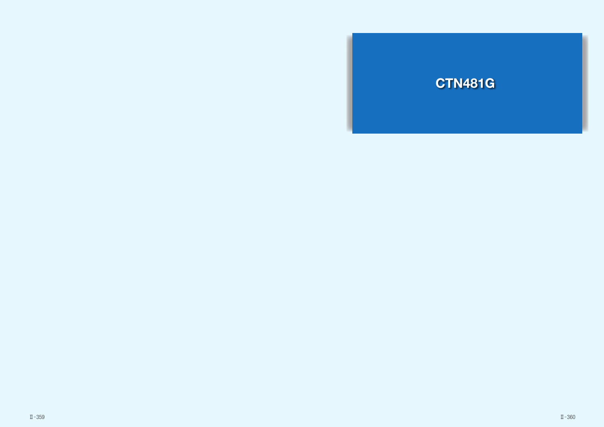

 $\mathbb{I}$  -360